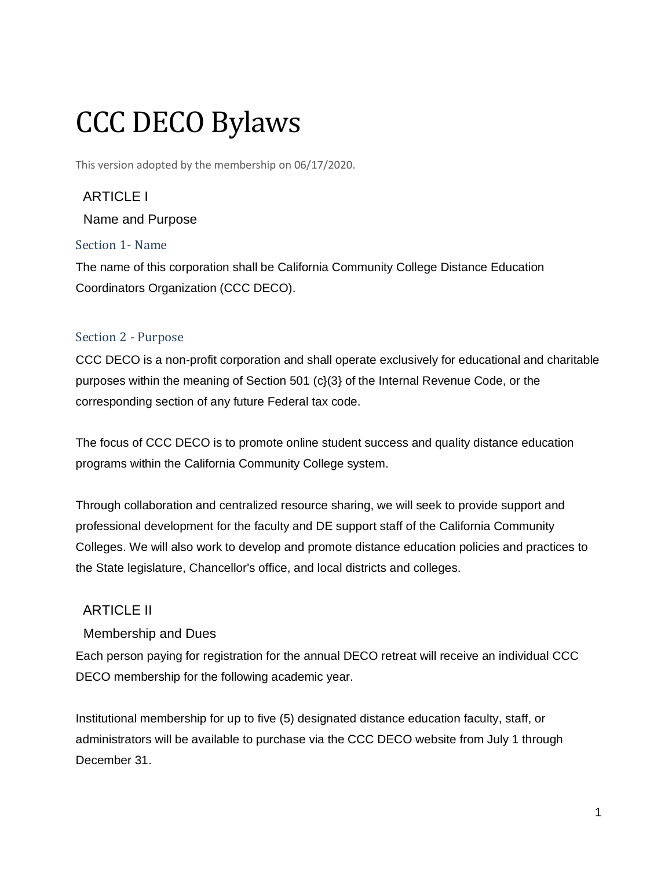# CCC DECO Bylaws

This version adopted by the membership on 06/17/2020.

# ARTICLE I

Name and Purpose

## Section 1- Name

The name of this corporation shall be California Community College Distance Education Coordinators Organization (CCC DECO).

## Section 2 - Purpose

CCC DECO is a non-profit corporation and shall operate exclusively for educational and charitable purposes within the meaning of Section 501 (c}(3} of the Internal Revenue Code, or the corresponding section of any future Federal tax code.

The focus of CCC DECO is to promote online student success and quality distance education programs within the California Community College system.

Through collaboration and centralized resource sharing, we will seek to provide support and professional development for the faculty and DE support staff of the California Community Colleges. We will also work to develop and promote distance education policies and practices to the State legislature, Chancellor's office, and local districts and colleges.

# ARTICLE II

Membership and Dues

Each person paying for registration for the annual DECO retreat will receive an individual CCC DECO membership for the following academic year.

Institutional membership for up to five (5) designated distance education faculty, staff, or administrators will be available to purchase via the CCC DECO website from July 1 through December 31.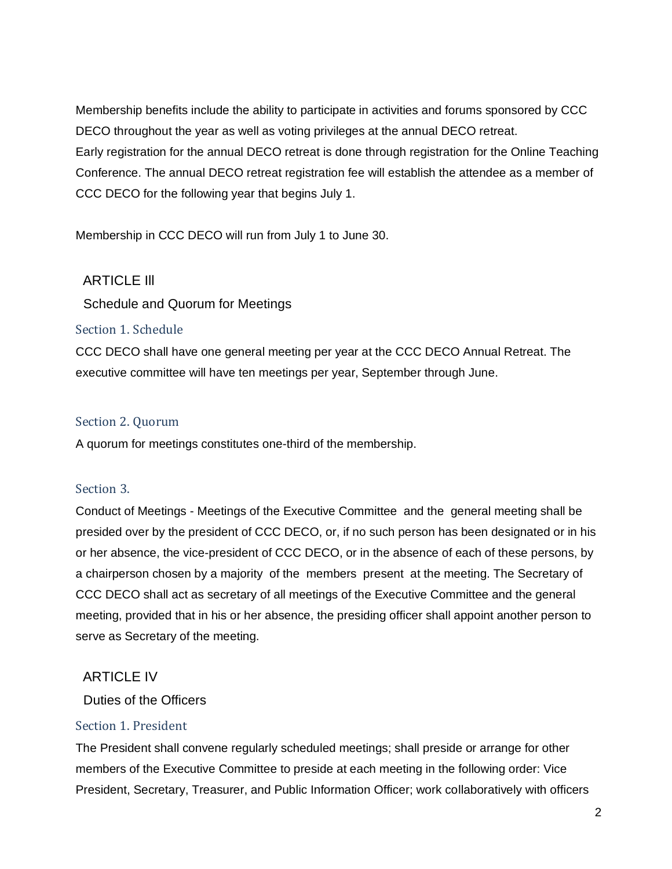Membership benefits include the ability to participate in activities and forums sponsored by CCC DECO throughout the year as well as voting privileges at the annual DECO retreat. Early registration for the annual DECO retreat is done through registration for the Online Teaching Conference. The annual DECO retreat registration fee will establish the attendee as a member of CCC DECO for the following year that begins July 1.

Membership in CCC DECO will run from July 1 to June 30.

## ARTICLE Ill

Schedule and Quorum for Meetings

#### Section 1. Schedule

CCC DECO shall have one general meeting per year at the CCC DECO Annual Retreat. The executive committee will have ten meetings per year, September through June.

#### Section 2. Quorum

A quorum for meetings constitutes one-third of the membership.

#### Section 3.

Conduct of Meetings - Meetings of the Executive Committee and the general meeting shall be presided over by the president of CCC DECO, or, if no such person has been designated or in his or her absence, the vice-president of CCC DECO, or in the absence of each of these persons, by a chairperson chosen by a majority of the members present at the meeting. The Secretary of CCC DECO shall act as secretary of all meetings of the Executive Committee and the general meeting, provided that in his or her absence, the presiding officer shall appoint another person to serve as Secretary of the meeting.

## ARTICLE IV

## Duties of the Officers

#### Section 1. President

The President shall convene regularly scheduled meetings; shall preside or arrange for other members of the Executive Committee to preside at each meeting in the following order: Vice President, Secretary, Treasurer, and Public Information Officer; work collaboratively with officers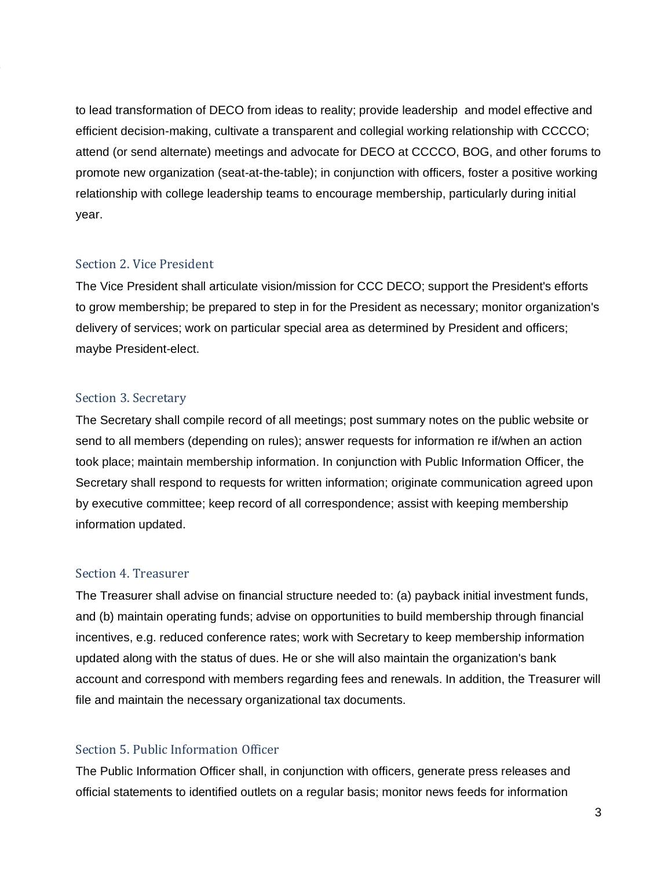to lead transformation of DECO from ideas to reality; provide leadership and model effective and efficient decision-making, cultivate a transparent and collegial working relationship with CCCCO; attend (or send alternate) meetings and advocate for DECO at CCCCO, BOG, and other forums to promote new organization (seat-at-the-table); in conjunction with officers, foster a positive working relationship with college leadership teams to encourage membership, particularly during initial year.

#### Section 2. Vice President

The Vice President shall articulate vision/mission for CCC DECO; support the President's efforts to grow membership; be prepared to step in for the President as necessary; monitor organization's delivery of services; work on particular special area as determined by President and officers; maybe President-elect.

#### Section 3. Secretary

The Secretary shall compile record of all meetings; post summary notes on the public website or send to all members (depending on rules); answer requests for information re if/when an action took place; maintain membership information. In conjunction with Public Information Officer, the Secretary shall respond to requests for written information; originate communication agreed upon by executive committee; keep record of all correspondence; assist with keeping membership information updated.

#### Section 4. Treasurer

The Treasurer shall advise on financial structure needed to: (a) payback initial investment funds, and (b) maintain operating funds; advise on opportunities to build membership through financial incentives, e.g. reduced conference rates; work with Secretary to keep membership information updated along with the status of dues. He or she will also maintain the organization's bank account and correspond with members regarding fees and renewals. In addition, the Treasurer will file and maintain the necessary organizational tax documents.

## Section 5. Public Information Officer

The Public Information Officer shall, in conjunction with officers, generate press releases and official statements to identified outlets on a regular basis; monitor news feeds for information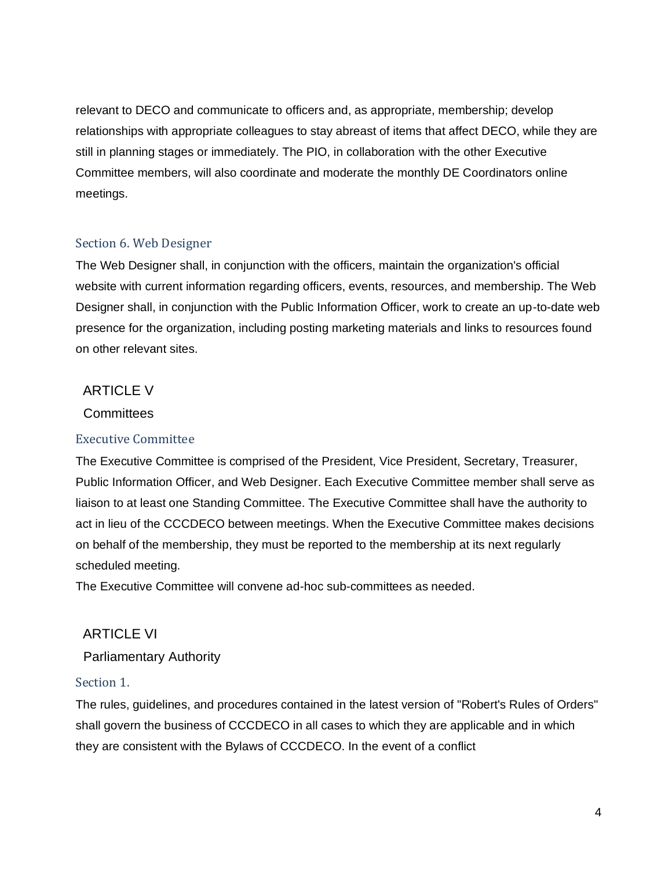relevant to DECO and communicate to officers and, as appropriate, membership; develop relationships with appropriate colleagues to stay abreast of items that affect DECO, while they are still in planning stages or immediately. The PIO, in collaboration with the other Executive Committee members, will also coordinate and moderate the monthly DE Coordinators online meetings.

## Section 6. Web Designer

The Web Designer shall, in conjunction with the officers, maintain the organization's official website with current information regarding officers, events, resources, and membership. The Web Designer shall, in conjunction with the Public Information Officer, work to create an up-to-date web presence for the organization, including posting marketing materials and links to resources found on other relevant sites.

## ARTICLE V

#### **Committees**

#### Executive Committee

The Executive Committee is comprised of the President, Vice President, Secretary, Treasurer, Public Information Officer, and Web Designer. Each Executive Committee member shall serve as liaison to at least one Standing Committee. The Executive Committee shall have the authority to act in lieu of the CCCDECO between meetings. When the Executive Committee makes decisions on behalf of the membership, they must be reported to the membership at its next regularly scheduled meeting.

The Executive Committee will convene ad-hoc sub-committees as needed.

#### ARTICLE VI

Parliamentary Authority

#### Section 1.

The rules, guidelines, and procedures contained in the latest version of "Robert's Rules of Orders" shall govern the business of CCCDECO in all cases to which they are applicable and in which they are consistent with the Bylaws of CCCDECO. In the event of a conflict